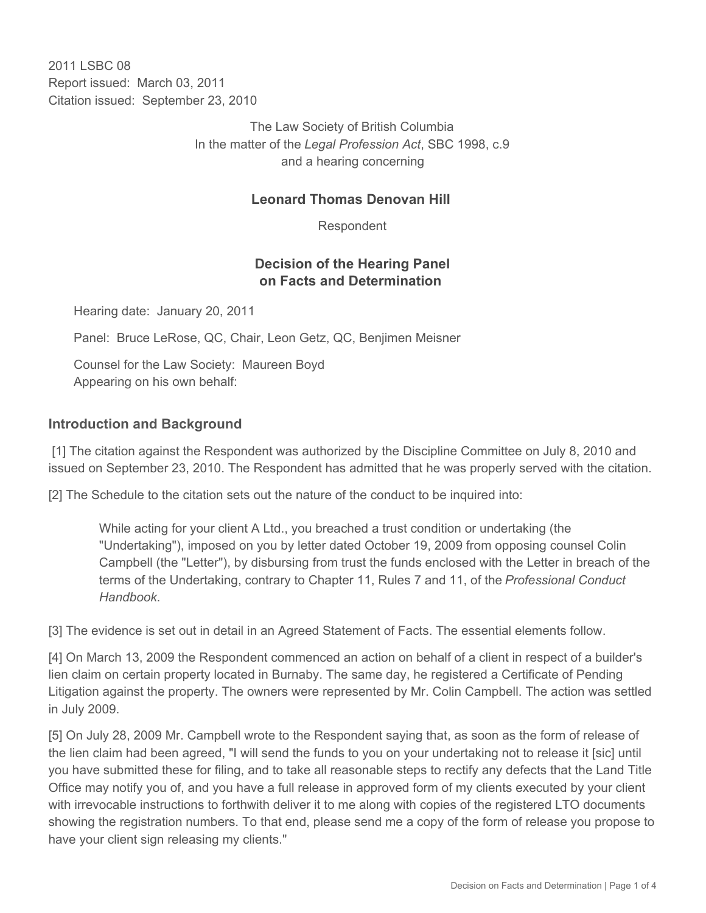2011 LSBC 08 Report issued: March 03, 2011 Citation issued: September 23, 2010

> The Law Society of British Columbia In the matter of the *Legal Profession Act*, SBC 1998, c.9 and a hearing concerning

#### **Leonard Thomas Denovan Hill**

Respondent

### **Decision of the Hearing Panel on Facts and Determination**

Hearing date: January 20, 2011

Panel: Bruce LeRose, QC, Chair, Leon Getz, QC, Benjimen Meisner

Counsel for the Law Society: Maureen Boyd Appearing on his own behalf:

#### **Introduction and Background**

 [1] The citation against the Respondent was authorized by the Discipline Committee on July 8, 2010 and issued on September 23, 2010. The Respondent has admitted that he was properly served with the citation.

[2] The Schedule to the citation sets out the nature of the conduct to be inquired into:

While acting for your client A Ltd., you breached a trust condition or undertaking (the "Undertaking"), imposed on you by letter dated October 19, 2009 from opposing counsel Colin Campbell (the "Letter"), by disbursing from trust the funds enclosed with the Letter in breach of the terms of the Undertaking, contrary to Chapter 11, Rules 7 and 11, of the *Professional Conduct Handbook*.

[3] The evidence is set out in detail in an Agreed Statement of Facts. The essential elements follow.

[4] On March 13, 2009 the Respondent commenced an action on behalf of a client in respect of a builder's lien claim on certain property located in Burnaby. The same day, he registered a Certificate of Pending Litigation against the property. The owners were represented by Mr. Colin Campbell. The action was settled in July 2009.

[5] On July 28, 2009 Mr. Campbell wrote to the Respondent saying that, as soon as the form of release of the lien claim had been agreed, "I will send the funds to you on your undertaking not to release it [sic] until you have submitted these for filing, and to take all reasonable steps to rectify any defects that the Land Title Office may notify you of, and you have a full release in approved form of my clients executed by your client with irrevocable instructions to forthwith deliver it to me along with copies of the registered LTO documents showing the registration numbers. To that end, please send me a copy of the form of release you propose to have your client sign releasing my clients."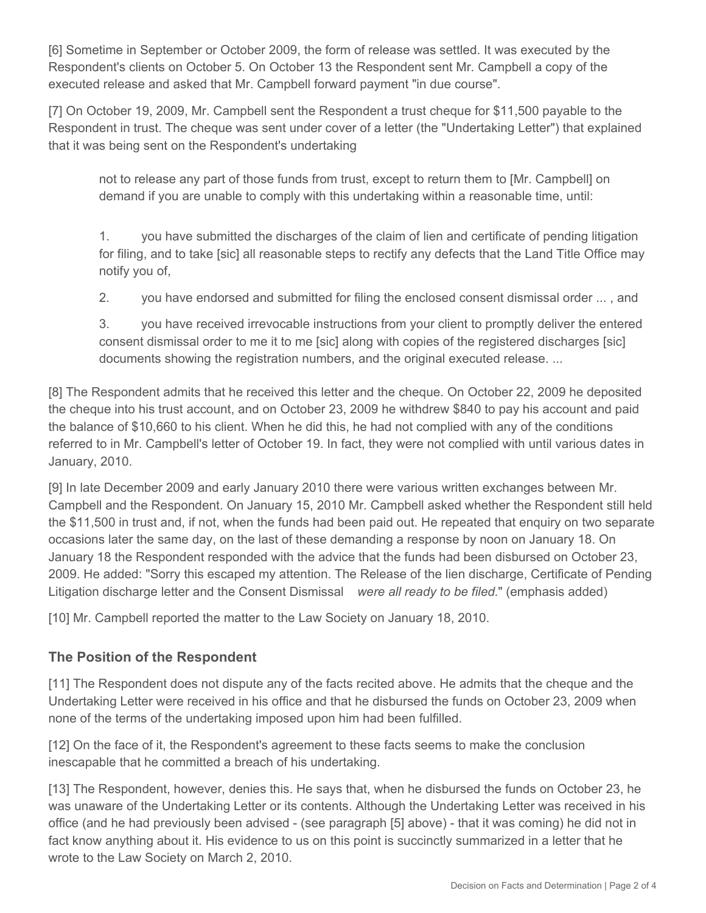[6] Sometime in September or October 2009, the form of release was settled. It was executed by the Respondent's clients on October 5. On October 13 the Respondent sent Mr. Campbell a copy of the executed release and asked that Mr. Campbell forward payment "in due course".

[7] On October 19, 2009, Mr. Campbell sent the Respondent a trust cheque for \$11,500 payable to the Respondent in trust. The cheque was sent under cover of a letter (the "Undertaking Letter") that explained that it was being sent on the Respondent's undertaking

not to release any part of those funds from trust, except to return them to [Mr. Campbell] on demand if you are unable to comply with this undertaking within a reasonable time, until:

1. you have submitted the discharges of the claim of lien and certificate of pending litigation for filing, and to take [sic] all reasonable steps to rectify any defects that the Land Title Office may notify you of,

2. you have endorsed and submitted for filing the enclosed consent dismissal order ... , and

3. you have received irrevocable instructions from your client to promptly deliver the entered consent dismissal order to me it to me [sic] along with copies of the registered discharges [sic] documents showing the registration numbers, and the original executed release. ...

[8] The Respondent admits that he received this letter and the cheque. On October 22, 2009 he deposited the cheque into his trust account, and on October 23, 2009 he withdrew \$840 to pay his account and paid the balance of \$10,660 to his client. When he did this, he had not complied with any of the conditions referred to in Mr. Campbell's letter of October 19. In fact, they were not complied with until various dates in January, 2010.

[9] In late December 2009 and early January 2010 there were various written exchanges between Mr. Campbell and the Respondent. On January 15, 2010 Mr. Campbell asked whether the Respondent still held the \$11,500 in trust and, if not, when the funds had been paid out. He repeated that enquiry on two separate occasions later the same day, on the last of these demanding a response by noon on January 18. On January 18 the Respondent responded with the advice that the funds had been disbursed on October 23, 2009. He added: "Sorry this escaped my attention. The Release of the lien discharge, Certificate of Pending Litigation discharge letter and the Consent Dismissal *were all ready to be filed*." (emphasis added)

[10] Mr. Campbell reported the matter to the Law Society on January 18, 2010.

## **The Position of the Respondent**

[11] The Respondent does not dispute any of the facts recited above. He admits that the cheque and the Undertaking Letter were received in his office and that he disbursed the funds on October 23, 2009 when none of the terms of the undertaking imposed upon him had been fulfilled.

[12] On the face of it, the Respondent's agreement to these facts seems to make the conclusion inescapable that he committed a breach of his undertaking.

[13] The Respondent, however, denies this. He says that, when he disbursed the funds on October 23, he was unaware of the Undertaking Letter or its contents. Although the Undertaking Letter was received in his office (and he had previously been advised - (see paragraph [5] above) - that it was coming) he did not in fact know anything about it. His evidence to us on this point is succinctly summarized in a letter that he wrote to the Law Society on March 2, 2010.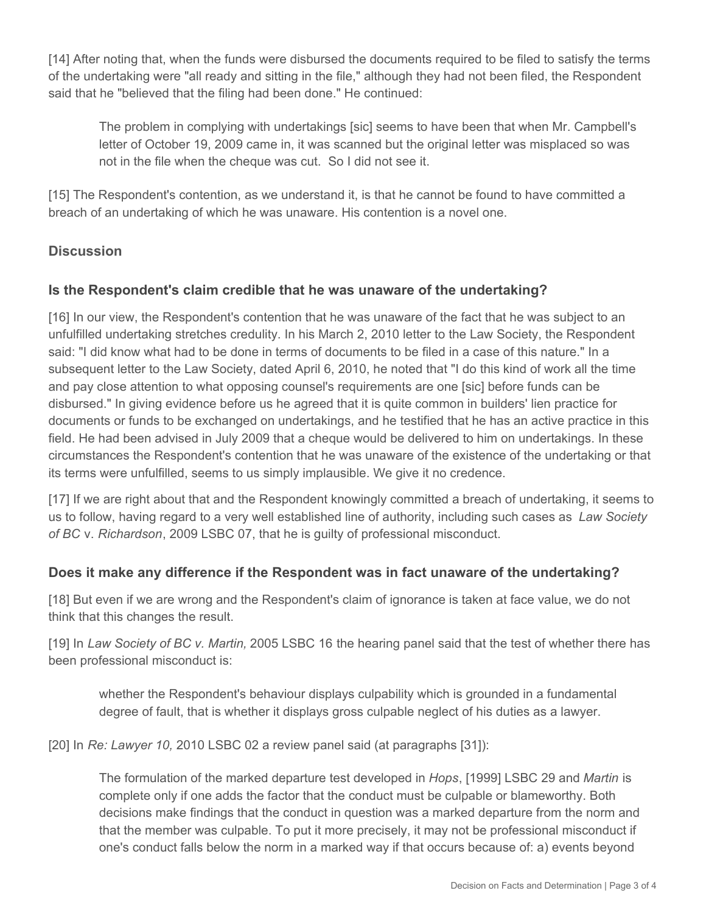[14] After noting that, when the funds were disbursed the documents required to be filed to satisfy the terms of the undertaking were "all ready and sitting in the file," although they had not been filed, the Respondent said that he "believed that the filing had been done." He continued:

The problem in complying with undertakings [sic] seems to have been that when Mr. Campbell's letter of October 19, 2009 came in, it was scanned but the original letter was misplaced so was not in the file when the cheque was cut. So I did not see it.

[15] The Respondent's contention, as we understand it, is that he cannot be found to have committed a breach of an undertaking of which he was unaware. His contention is a novel one.

# **Discussion**

## **Is the Respondent's claim credible that he was unaware of the undertaking?**

[16] In our view, the Respondent's contention that he was unaware of the fact that he was subject to an unfulfilled undertaking stretches credulity. In his March 2, 2010 letter to the Law Society, the Respondent said: "I did know what had to be done in terms of documents to be filed in a case of this nature." In a subsequent letter to the Law Society, dated April 6, 2010, he noted that "I do this kind of work all the time and pay close attention to what opposing counsel's requirements are one [sic] before funds can be disbursed." In giving evidence before us he agreed that it is quite common in builders' lien practice for documents or funds to be exchanged on undertakings, and he testified that he has an active practice in this field. He had been advised in July 2009 that a cheque would be delivered to him on undertakings. In these circumstances the Respondent's contention that he was unaware of the existence of the undertaking or that its terms were unfulfilled, seems to us simply implausible. We give it no credence.

[17] If we are right about that and the Respondent knowingly committed a breach of undertaking, it seems to us to follow, having regard to a very well established line of authority, including such cases as *Law Society of BC* v. *Richardson*, 2009 LSBC 07, that he is guilty of professional misconduct.

#### **Does it make any difference if the Respondent was in fact unaware of the undertaking?**

[18] But even if we are wrong and the Respondent's claim of ignorance is taken at face value, we do not think that this changes the result.

[19] In *Law Society of BC v. Martin,* 2005 LSBC 16 the hearing panel said that the test of whether there has been professional misconduct is:

whether the Respondent's behaviour displays culpability which is grounded in a fundamental degree of fault, that is whether it displays gross culpable neglect of his duties as a lawyer.

[20] In *Re: Lawyer 10,* 2010 LSBC 02 a review panel said (at paragraphs [31]):

The formulation of the marked departure test developed in *Hops*, [1999] LSBC 29 and *Martin* is complete only if one adds the factor that the conduct must be culpable or blameworthy. Both decisions make findings that the conduct in question was a marked departure from the norm and that the member was culpable. To put it more precisely, it may not be professional misconduct if one's conduct falls below the norm in a marked way if that occurs because of: a) events beyond